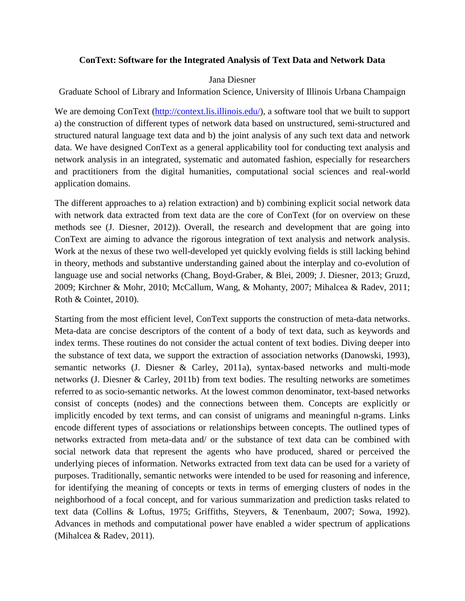# **ConText: Software for the Integrated Analysis of Text Data and Network Data**

## Jana Diesner

Graduate School of Library and Information Science, University of Illinois Urbana Champaign

We are demoing ConText (http://context.lis.illinois.edu/), a software tool that we built to support a) the construction of different types of network data based on unstructured, semi-structured and structured natural language text data and b) the joint analysis of any such text data and network data. We have designed ConText as a general applicability tool for conducting text analysis and network analysis in an integrated, systematic and automated fashion, especially for researchers and practitioners from the digital humanities, computational social sciences and real-world application domains.

The different approaches to a) relation extraction) and b) combining explicit social network data with network data extracted from text data are the core of ConText (for on overview on these methods see (J. Diesner, 2012)). Overall, the research and development that are going into ConText are aiming to advance the rigorous integration of text analysis and network analysis. Work at the nexus of these two well-developed yet quickly evolving fields is still lacking behind in theory, methods and substantive understanding gained about the interplay and co-evolution of language use and social networks (Chang, Boyd-Graber, & Blei, 2009; J. Diesner, 2013; Gruzd, 2009; Kirchner & Mohr, 2010; McCallum, Wang, & Mohanty, 2007; Mihalcea & Radev, 2011; Roth & Cointet, 2010).

Starting from the most efficient level, ConText supports the construction of meta-data networks. Meta-data are concise descriptors of the content of a body of text data, such as keywords and index terms. These routines do not consider the actual content of text bodies. Diving deeper into the substance of text data, we support the extraction of association networks (Danowski, 1993), semantic networks (J. Diesner & Carley, 2011a), syntax-based networks and multi-mode networks (J. Diesner & Carley, 2011b) from text bodies. The resulting networks are sometimes referred to as socio-semantic networks. At the lowest common denominator, text-based networks consist of concepts (nodes) and the connections between them. Concepts are explicitly or implicitly encoded by text terms, and can consist of unigrams and meaningful n-grams. Links encode different types of associations or relationships between concepts. The outlined types of networks extracted from meta-data and/ or the substance of text data can be combined with social network data that represent the agents who have produced, shared or perceived the underlying pieces of information. Networks extracted from text data can be used for a variety of purposes. Traditionally, semantic networks were intended to be used for reasoning and inference, for identifying the meaning of concepts or texts in terms of emerging clusters of nodes in the neighborhood of a focal concept, and for various summarization and prediction tasks related to text data (Collins & Loftus, 1975; Griffiths, Steyvers, & Tenenbaum, 2007; Sowa, 1992). Advances in methods and computational power have enabled a wider spectrum of applications (Mihalcea & Radev, 2011).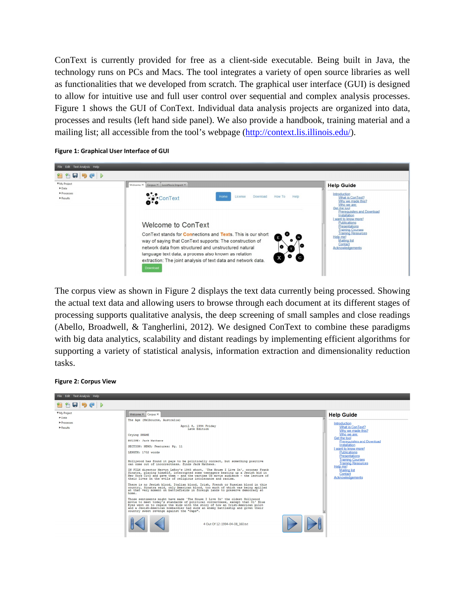ConText is currently provided for free as a client-side executable. Being built in Java, the technology runs on PCs and Macs. The tool integrates a variety of open source libraries as well as functionalities that we developed from scratch. The graphical user interface (GUI) is designed to allow for intuitive use and full user control over sequential and complex analysis processes. Figure 1 shows the GUI of ConText. Individual data analysis projects are organized into data, processes and results (left hand side panel). We also provide a handbook, training material and a mailing list; all accessible from the tool's webpage (http://context.lis.illinois.edu/).

#### **Figure 1: Graphical User Interface of GUI**



The corpus view as shown in Figure 2 displays the text data currently being processed. Showing the actual text data and allowing users to browse through each document at its different stages of processing supports qualitative analysis, the deep screening of small samples and close readings (Abello, Broadwell, & Tangherlini, 2012). We designed ConText to combine these paradigms with big data analytics, scalability and distant readings by implementing efficient algorithms for supporting a variety of statistical analysis, information extraction and dimensionality reduction tasks.

#### **Figure 2: Corpus View**

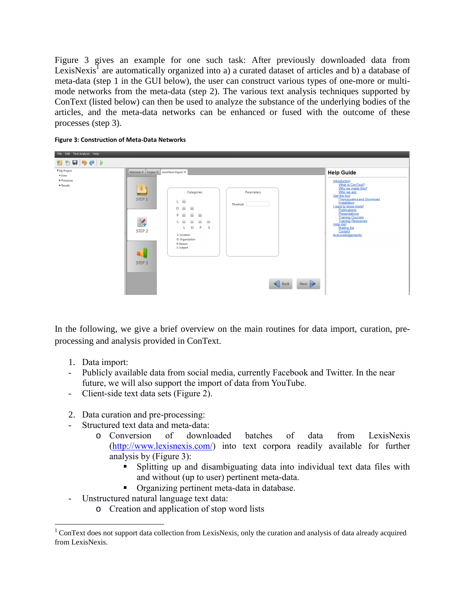Figure 3 gives an example for one such task: After previously downloaded data from LexisNexis<sup>1</sup> are automatically organized into a) a curated dataset of articles and b) a database of meta-data (step 1 in the GUI below), the user can construct various types of one-more or multimode networks from the meta-data (step 2). The various text analysis techniques supported by ConText (listed below) can then be used to analyze the substance of the underlying bodies of the articles, and the meta-data networks can be enhanced or fused with the outcome of these processes (step 3).





In the following, we give a brief overview on the main routines for data import, curation, preprocessing and analysis provided in ConText.

1. Data import:

 $\overline{\phantom{0}}$ 

- Publicly available data from social media, currently Facebook and Twitter. In the near future, we will also support the import of data from YouTube.
- Client-side text data sets (Figure 2).
- 2. Data curation and pre-processing:
- Structured text data and meta-data:
	- o Conversion of downloaded batches of data from LexisNexis (http://www.lexisnexis.com/) into text corpora readily available for further analysis by (Figure 3):
		- Splitting up and disambiguating data into individual text data files with and without (up to user) pertinent meta-data.
		- Organizing pertinent meta-data in database.
- Unstructured natural language text data:
	- o Creation and application of stop word lists

<sup>&</sup>lt;sup>1</sup> ConText does not support data collection from LexisNexis, only the curation and analysis of data already acquired from LexisNexis.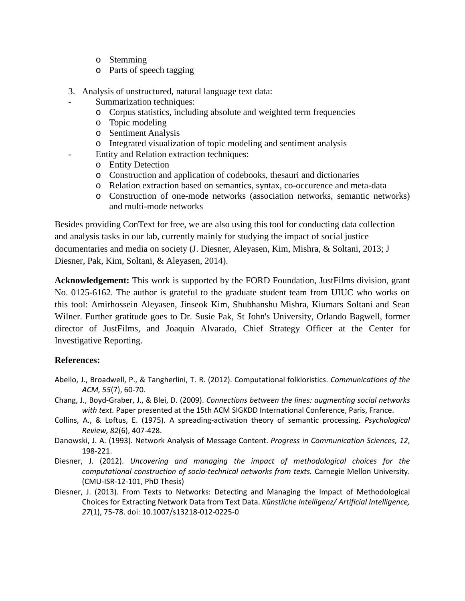- o Stemming
- o Parts of speech tagging
- 3. Analysis of unstructured, natural language text data:
- Summarization techniques:
	- o Corpus statistics, including absolute and weighted term frequencies
	- o Topic modeling
	- o Sentiment Analysis
	- o Integrated visualization of topic modeling and sentiment analysis
- Entity and Relation extraction techniques:
	- o Entity Detection
	- o Construction and application of codebooks, thesauri and dictionaries
	- o Relation extraction based on semantics, syntax, co-occurence and meta-data
	- o Construction of one-mode networks (association networks, semantic networks) and multi-mode networks

Besides providing ConText for free, we are also using this tool for conducting data collection and analysis tasks in our lab, currently mainly for studying the impact of social justice documentaries and media on society (J. Diesner, Aleyasen, Kim, Mishra, & Soltani, 2013; J Diesner, Pak, Kim, Soltani, & Aleyasen, 2014).

**Acknowledgement:** This work is supported by the FORD Foundation, JustFilms division, grant No. 0125-6162. The author is grateful to the graduate student team from UIUC who works on this tool: Amirhossein Aleyasen, Jinseok Kim, Shubhanshu Mishra, Kiumars Soltani and Sean Wilner. Further gratitude goes to Dr. Susie Pak, St John's University, Orlando Bagwell, former director of JustFilms, and Joaquin Alvarado, Chief Strategy Officer at the Center for Investigative Reporting.

## **References:**

- Abello, J., Broadwell, P., & Tangherlini, T. R. (2012). Computational folkloristics. *Communications of the ACM, 55*(7), 60-70.
- Chang, J., Boyd-Graber, J., & Blei, D. (2009). *Connections between the lines: augmenting social networks with text.* Paper presented at the 15th ACM SIGKDD International Conference, Paris, France.
- Collins, A., & Loftus, E. (1975). A spreading-activation theory of semantic processing. *Psychological Review, 82*(6), 407-428.
- Danowski, J. A. (1993). Network Analysis of Message Content. *Progress in Communication Sciences, 12*, 198-221.
- Diesner, J. (2012). *Uncovering and managing the impact of methodological choices for the computational construction of socio-technical networks from texts.* Carnegie Mellon University. (CMU-ISR-12-101, PhD Thesis)
- Diesner, J. (2013). From Texts to Networks: Detecting and Managing the Impact of Methodological Choices for Extracting Network Data from Text Data. *Künstliche Intelligenz/ Artificial Intelligence, 27*(1), 75-78. doi: 10.1007/s13218-012-0225-0